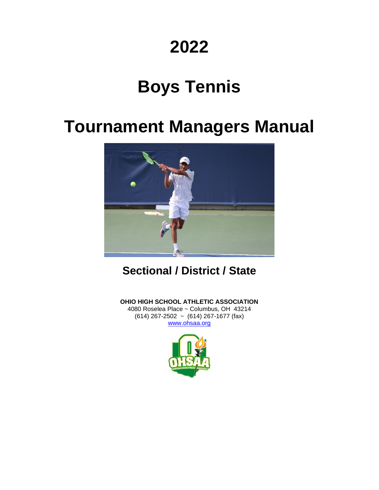# **2022**

# **Boys Tennis**

# **Tournament Managers Manual**



**Sectional / District / State**

**OHIO HIGH SCHOOL ATHLETIC ASSOCIATION** 4080 Roselea Place ~ Columbus, OH 43214 (614) 267-2502 ~ (614) 267-1677 (fax) [www.ohsaa.org](http://www.ohsaa.org/)

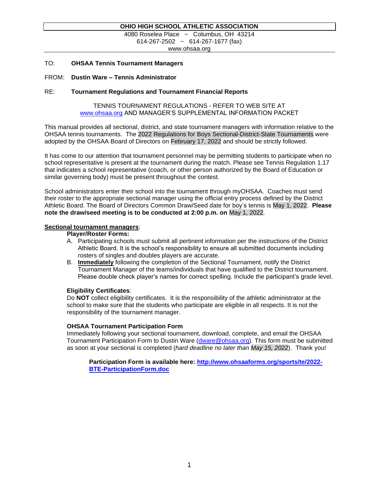#### **OHIO HIGH SCHOOL ATHLETIC ASSOCIATION**

4080 Roselea Place ~ Columbus, OH 43214 614-267-2502 ~ 614-267-1677 (fax)

www.ohsaa.org

#### TO: **OHSAA Tennis Tournament Managers**

#### FROM: **Dustin Ware – Tennis Administrator**

#### RE: **Tournament Regulations and Tournament Financial Reports**

#### TENNIS TOURNAMENT REGULATIONS - REFER TO WEB SITE AT [www.ohsaa.org](http://www.ohsaa.org/) AND MANAGER'S SUPPLEMENTAL INFORMATION PACKET

This manual provides all sectional, district, and state tournament managers with information relative to the OHSAA tennis tournaments. The 2022 Regulations for Boys Sectional-District-State Tournaments were adopted by the OHSAA Board of Directors on February 17, 2022 and should be strictly followed.

It has come to our attention that tournament personnel may be permitting students to participate when no school representative is present at the tournament during the match. Please see Tennis Regulation 1.17 that indicates a school representative (coach, or other person authorized by the Board of Education or similar governing body) must be present throughout the contest.

School administrators enter their school into the tournament through myOHSAA. Coaches must send their roster to the appropriate sectional manager using the official entry process defined by the District Athletic Board. The Board of Directors Common Draw/Seed date for boy's tennis is May 1, 2022. **Please note the draw/seed meeting is to be conducted at 2:00 p.m. on** May 1, 2022.

#### **Sectional tournament managers**:

**Player/Roster Forms:**

- A. Participating schools must submit all pertinent information per the instructions of the District Athletic Board. It is the school's responsibility to ensure all submitted documents including rosters of singles and doubles players are accurate.
- B. **Immediately** following the completion of the Sectional Tournament, notify the District Tournament Manager of the teams/individuals that have qualified to the District tournament. Please double check player's names for correct spelling. Include the participant's grade level.

#### **Eligibility Certificates**:

Do **NOT** collect eligibility certificates. It is the responsibility of the athletic administrator at the school to make sure that the students who participate are eligible in all respects. It is not the responsibility of the tournament manager.

#### **OHSAA Tournament Participation Form**

Immediately following your sectional tournament, download, complete, and email the OHSAA Tournament Participation Form to Dustin Ware (dware @ohsaa.org). This form must be submitted as soon at your sectional is completed (*hard deadline no later than May 15, 2022*). Thank you!

**Participation Form is available here: [http://www.ohsaaforms.org/sports/te/2022-](http://www.ohsaaforms.org/sports/te/2022-BTE-ParticipationForm.doc) [BTE-ParticipationForm.doc](http://www.ohsaaforms.org/sports/te/2022-BTE-ParticipationForm.doc)**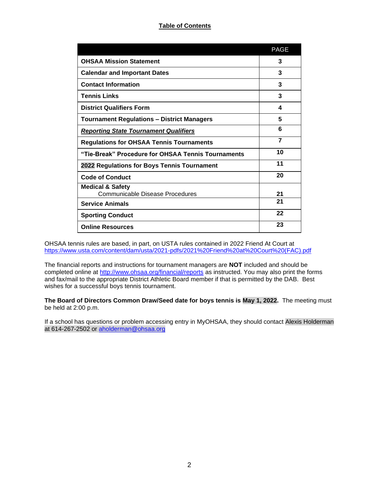# **Table of Contents**

|                                                                | <b>PAGE</b>    |
|----------------------------------------------------------------|----------------|
| <b>OHSAA Mission Statement</b>                                 | 3              |
| <b>Calendar and Important Dates</b>                            | 3              |
| <b>Contact Information</b>                                     | 3              |
| <b>Tennis Links</b>                                            | 3              |
| <b>District Qualifiers Form</b>                                | 4              |
| <b>Tournament Regulations - District Managers</b>              | 5              |
| <b>Reporting State Tournament Qualifiers</b>                   | 6              |
| <b>Regulations for OHSAA Tennis Tournaments</b>                | $\overline{7}$ |
| "Tie-Break" Procedure for OHSAA Tennis Tournaments             | 10             |
| 2022 Regulations for Boys Tennis Tournament                    | 11             |
| <b>Code of Conduct</b>                                         | 20             |
| <b>Medical &amp; Safety</b><br>Communicable Disease Procedures | 21             |
| <b>Service Animals</b>                                         | 21             |
| <b>Sporting Conduct</b>                                        | 22             |
| <b>Online Resources</b>                                        | 23             |

OHSAA tennis rules are based, in part, on USTA rules contained in 2022 Friend At Court at [https://www.usta.com/content/dam/usta/2021-pdfs/2021%20Friend%20at%20Court%20\(FAC\).pdf](https://www.usta.com/content/dam/usta/2021-pdfs/2021%20Friend%20at%20Court%20(FAC).pdf)

The financial reports and instructions for tournament managers are **NOT** included and should be completed online at<http://www.ohsaa.org/financial/reports> as instructed. You may also print the forms and fax/mail to the appropriate District Athletic Board member if that is permitted by the DAB. Best wishes for a successful boys tennis tournament.

**The Board of Directors Common Draw/Seed date for boys tennis is May 1, 2022.** The meeting must be held at 2:00 p.m.

If a school has questions or problem accessing entry in MyOHSAA, they should contact Alexis Holderman at 614-267-2502 or [aholderman@ohsaa.org](mailto:aholderman@ohsaa.org)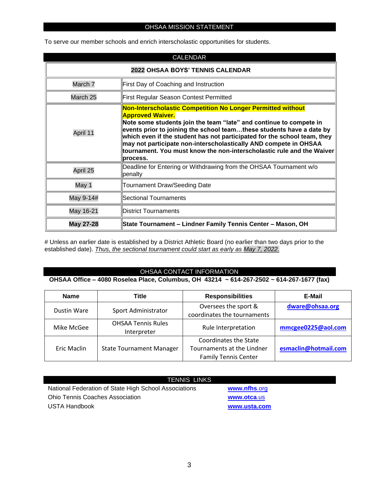### OHSAA MISSION STATEMENT

To serve our member schools and enrich interscholastic opportunities for students.

| <b>CALENDAR</b>                  |                                                                                                                                                                                                                                                                                                                                                                                                                                                                           |  |
|----------------------------------|---------------------------------------------------------------------------------------------------------------------------------------------------------------------------------------------------------------------------------------------------------------------------------------------------------------------------------------------------------------------------------------------------------------------------------------------------------------------------|--|
| 2022 OHSAA BOYS' TENNIS CALENDAR |                                                                                                                                                                                                                                                                                                                                                                                                                                                                           |  |
| March 7                          | First Day of Coaching and Instruction                                                                                                                                                                                                                                                                                                                                                                                                                                     |  |
| March 25                         | <b>First Regular Season Contest Permitted</b>                                                                                                                                                                                                                                                                                                                                                                                                                             |  |
| April 11                         | Non-Interscholastic Competition No Longer Permitted without<br><b>Approved Waiver.</b><br>Note some students join the team "late" and continue to compete in<br>events prior to joining the school teamthese students have a date by<br>which even if the student has not participated for the school team, they<br>may not participate non-interscholastically AND compete in OHSAA<br>tournament. You must know the non-interscholastic rule and the Waiver<br>process. |  |
| April 25                         | Deadline for Entering or Withdrawing from the OHSAA Tournament w/o<br>penalty                                                                                                                                                                                                                                                                                                                                                                                             |  |
| May 1                            | <b>Tournament Draw/Seeding Date</b>                                                                                                                                                                                                                                                                                                                                                                                                                                       |  |
| May 9-14#                        | Sectional Tournaments                                                                                                                                                                                                                                                                                                                                                                                                                                                     |  |
| May 16-21                        | District Tournaments                                                                                                                                                                                                                                                                                                                                                                                                                                                      |  |
| May 27-28                        | State Tournament - Lindner Family Tennis Center - Mason, OH                                                                                                                                                                                                                                                                                                                                                                                                               |  |

# Unless an earlier date is established by a District Athletic Board (no earlier than two days prior to the established date). *Thus, the sectional tournament could start as early as May 7, 2022.*

#### OHSAA CONTACT INFORMATION

**OHSAA Office – 4080 Roselea Place, Columbus, OH 43214 ~ 614-267-2502 ~ 614-267-1677 (fax)**

| <b>Name</b> | Title                                    | <b>Responsibilities</b>     | E-Mail               |
|-------------|------------------------------------------|-----------------------------|----------------------|
|             | Oversees the sport &                     | dware@ohsaa.org             |                      |
| Dustin Ware | Sport Administrator                      | coordinates the tournaments |                      |
| Mike McGee  | <b>OHSAA Tennis Rules</b><br>Interpreter | Rule Interpretation         | mmcgee0225@aol.com   |
|             |                                          | Coordinates the State       |                      |
| Eric Maclin | <b>State Tournament Manager</b>          | Tournaments at the Lindner  | esmaclin@hotmail.com |
|             |                                          | <b>Family Tennis Center</b> |                      |

| <b>TENNIS LINKS</b>                                   |              |
|-------------------------------------------------------|--------------|
| National Federation of State High School Associations | www.nfhs.org |
| <b>Ohio Tennis Coaches Association</b>                | www.otca.us  |
| USTA Handbook                                         | www.usta.com |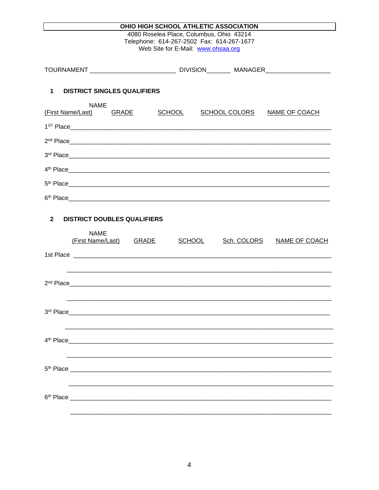| OHIO HIGH SCHOOL ATHLETIC ASSOCIATION                                                                                                                                                                                                          |  |  |
|------------------------------------------------------------------------------------------------------------------------------------------------------------------------------------------------------------------------------------------------|--|--|
| 4080 Roselea Place, Columbus, Ohio 43214<br>Telephone: 614-267-2502 Fax: 614-267-1677<br>Web Site for E-Mail: www.ohsaa.org                                                                                                                    |  |  |
|                                                                                                                                                                                                                                                |  |  |
| $\mathbf{1}$<br><b>DISTRICT SINGLES QUALIFIERS</b>                                                                                                                                                                                             |  |  |
| <b>NAME</b><br>(First Name/Last)<br><b>SCHOOL</b><br><b>SCHOOL COLORS</b><br><b>GRADE</b><br>NAME OF COACH                                                                                                                                     |  |  |
|                                                                                                                                                                                                                                                |  |  |
|                                                                                                                                                                                                                                                |  |  |
| 3rd Place                                                                                                                                                                                                                                      |  |  |
|                                                                                                                                                                                                                                                |  |  |
| 5 <sup>th</sup> Place <b>Section Contract Contract Contract Contract Contract Contract Contract Contract Contract Contract Contract Contract Contract Contract Contract Contract Contract Contract Contract Contract Contract Contract Con</b> |  |  |
|                                                                                                                                                                                                                                                |  |  |
| $\mathbf{2}$<br><b>DISTRICT DOUBLES QUALIFIERS</b><br><b>NAME</b><br>(First Name/Last) GRADE<br><b>SCHOOL</b><br>Sch. COLORS NAME OF COACH                                                                                                     |  |  |
|                                                                                                                                                                                                                                                |  |  |
| 3rd Place<br><u> 1989 - Jan Samuel Barbara, menyebara tenagai bagian perangan perangan perangan perangan perangan perangan per</u>                                                                                                             |  |  |
| 4 <sup>th</sup> Place<br><u> 1980 - John Stein, Amerikaansk politiker (* 1980)</u>                                                                                                                                                             |  |  |
|                                                                                                                                                                                                                                                |  |  |
|                                                                                                                                                                                                                                                |  |  |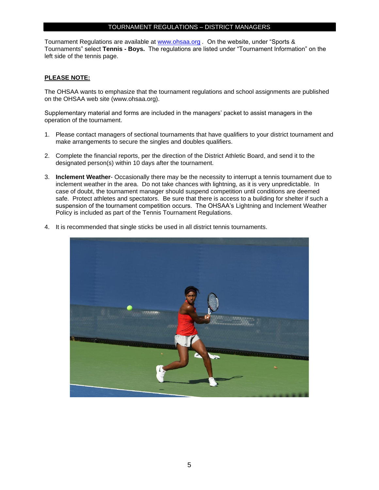# TOURNAMENT REGULATIONS – DISTRICT MANAGERS

Tournament Regulations are available at [www.ohsaa.org](http://www.ohsaa.org/) *.* On the website, under "Sports & Tournaments" select **Tennis - Boys.** The regulations are listed under "Tournament Information" on the left side of the tennis page.

#### **PLEASE NOTE:**

The OHSAA wants to emphasize that the tournament regulations and school assignments are published on the OHSAA web site (www.ohsaa.org).

Supplementary material and forms are included in the managers' packet to assist managers in the operation of the tournament.

- 1. Please contact managers of sectional tournaments that have qualifiers to your district tournament and make arrangements to secure the singles and doubles qualifiers.
- 2. Complete the financial reports, per the direction of the District Athletic Board, and send it to the designated person(s) within 10 days after the tournament.
- 3. **Inclement Weather** Occasionally there may be the necessity to interrupt a tennis tournament due to inclement weather in the area. Do not take chances with lightning, as it is very unpredictable. In case of doubt, the tournament manager should suspend competition until conditions are deemed safe. Protect athletes and spectators. Be sure that there is access to a building for shelter if such a suspension of the tournament competition occurs. The OHSAA's Lightning and Inclement Weather Policy is included as part of the Tennis Tournament Regulations.



4. It is recommended that single sticks be used in all district tennis tournaments.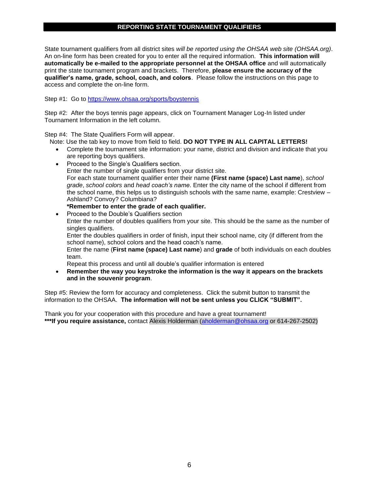## **REPORTING STATE TOURNAMENT QUALIFIERS**

State tournament qualifiers from all district sites *will be reported using the OHSAA web site (OHSAA.org)*. An on-line form has been created for you to enter all the required information. **This information will automatically be e-mailed to the appropriate personnel at the OHSAA office** and will automatically print the state tournament program and brackets. Therefore, **please ensure the accuracy of the qualifier's name, grade, school, coach, and colors**. Please follow the instructions on this page to access and complete the on-line form.

Step #1: Go to<https://www.ohsaa.org/sports/boystennis>

Step #2: After the boys tennis page appears, click on Tournament Manager Log-In listed under Tournament Information in the left column.

Step #4: The State Qualifiers Form will appear.

- Note: Use the tab key to move from field to field. **DO NOT TYPE IN ALL CAPITAL LETTERS!**
	- Complete the tournament site information: your name, district and division and indicate that you are reporting boys qualifiers.
	- Proceed to the Single's Qualifiers section. Enter the number of single qualifiers from your district site. For each state tournament qualifier enter their name **(First name (space) Last name**), *school grade*, *school colors* and *head coach's name*. Enter the city name of the school if different from the school name, this helps us to distinguish schools with the same name, example: Crestview – Ashland? Convoy? Columbiana?
	- **\*Remember to enter the grade of each qualifier.** • Proceed to the Double's Qualifiers section Enter the number of doubles qualifiers from your site. This should be the same as the number of singles qualifiers. Enter the doubles qualifiers in order of finish, input their school name, city (if different from the school name), school colors and the head coach's name. Enter the name (**First name (space) Last name**) and **grade** of both individuals on each doubles team. Repeat this process and until all double's qualifier information is entered
	- **Remember the way you keystroke the information is the way it appears on the brackets and in the souvenir program**.

Step #5: Review the form for accuracy and completeness. Click the submit button to transmit the information to the OHSAA. **The information will not be sent unless you CLICK "SUBMIT".**

Thank you for your cooperation with this procedure and have a great tournament! **\*\*\*If you require assistance,** contact Alexis Holderman [\(aholderman@ohsaa.org](mailto:aholderman@ohsaa.org) or 614-267-2502)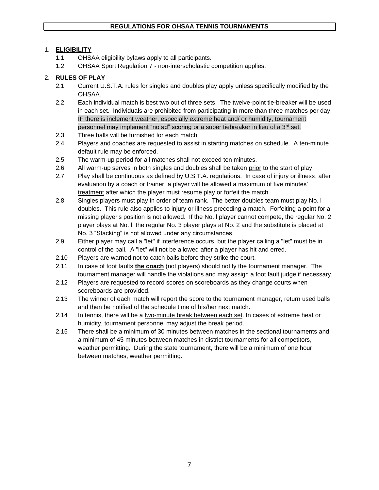# 1. **ELIGIBILITY**

- 1.1 OHSAA eligibility bylaws apply to all participants.
- 1.2 OHSAA Sport Regulation 7 non-interscholastic competition applies.

# 2. **RULES OF PLAY**

- 2.1 Current U.S.T.A. rules for singles and doubles play apply unless specifically modified by the OHSAA.
- 2.2 Each individual match is best two out of three sets. The twelve-point tie-breaker will be used in each set. Individuals are prohibited from participating in more than three matches per day. IF there is inclement weather, especially extreme heat and/ or humidity, tournament personnel may implement "no ad" scoring or a super tiebreaker in lieu of a 3rd set.
- 2.3 Three balls will be furnished for each match.
- 2.4 Players and coaches are requested to assist in starting matches on schedule. A ten-minute default rule may be enforced.
- 2.5 The warm-up period for all matches shall not exceed ten minutes.
- 2.6 All warm-up serves in both singles and doubles shall be taken prior to the start of play.
- 2.7 Play shall be continuous as defined by U.S.T.A. regulations. In case of injury or illness, after evaluation by a coach or trainer, a player will be allowed a maximum of five minutes' treatment after which the player must resume play or forfeit the match.
- 2.8 Singles players must play in order of team rank. The better doubles team must play No. l doubles. This rule also applies to injury or illness preceding a match. Forfeiting a point for a missing player's position is not allowed. If the No. l player cannot compete, the regular No. 2 player plays at No. l, the regular No. 3 player plays at No. 2 and the substitute is placed at No. 3 "Stacking" is not allowed under any circumstances.
- 2.9 Either player may call a "let" if interference occurs, but the player calling a "let" must be in control of the ball. A "let" will not be allowed after a player has hit and erred.
- 2.10 Players are warned not to catch balls before they strike the court.
- 2.11 In case of foot faults **the coach** (not players) should notify the tournament manager. The tournament manager will handle the violations and may assign a foot fault judge if necessary.
- 2.12 Players are requested to record scores on scoreboards as they change courts when scoreboards are provided.
- 2.13 The winner of each match will report the score to the tournament manager, return used balls and then be notified of the schedule time of his/her next match.
- 2.14 In tennis, there will be a two-minute break between each set. In cases of extreme heat or humidity, tournament personnel may adjust the break period.
- 2.15 There shall be a minimum of 30 minutes between matches in the sectional tournaments and a minimum of 45 minutes between matches in district tournaments for all competitors, weather permitting. During the state tournament, there will be a minimum of one hour between matches, weather permitting.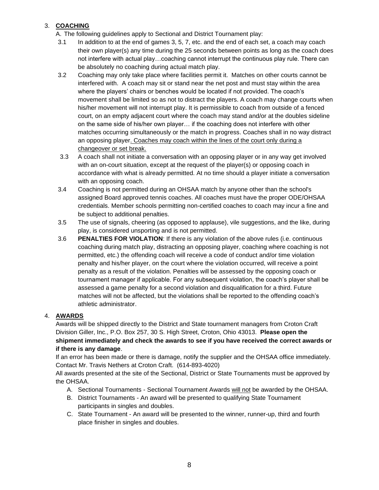# 3. **COACHING**

A. The following guidelines apply to Sectional and District Tournament play:

- 3.1 In addition to at the end of games 3, 5, 7, etc. and the end of each set, a coach may coach their own player(s) any time during the 25 seconds between points as long as the coach does not interfere with actual play…coaching cannot interrupt the continuous play rule. There can be absolutely no coaching during actual match play.
- 3.2 Coaching may only take place where facilities permit it. Matches on other courts cannot be interfered with. A coach may sit or stand near the net post and must stay within the area where the players' chairs or benches would be located if not provided. The coach's movement shall be limited so as not to distract the players. A coach may change courts when his/her movement will not interrupt play. It is permissible to coach from outside of a fenced court, on an empty adjacent court where the coach may stand and/or at the doubles sideline on the same side of his/her own player… if the coaching does not interfere with other matches occurring simultaneously or the match in progress. Coaches shall in no way distract an opposing player. Coaches may coach within the lines of the court only during a changeover or set break.
- 3.3 A coach shall not initiate a conversation with an opposing player or in any way get involved with an on-court situation, except at the request of the player(s) or opposing coach in accordance with what is already permitted. At no time should a player initiate a conversation with an opposing coach.
- 3.4 Coaching is not permitted during an OHSAA match by anyone other than the school's assigned Board approved tennis coaches. All coaches must have the proper ODE/OHSAA credentials. Member schools permitting non-certified coaches to coach may incur a fine and be subject to additional penalties.
- 3.5 The use of signals, cheering (as opposed to applause), vile suggestions, and the like, during play, is considered unsporting and is not permitted.
- 3.6 **PENALTIES FOR VIOLATION**: If there is any violation of the above rules (i.e. continuous coaching during match play, distracting an opposing player, coaching where coaching is not permitted, etc.) the offending coach will receive a code of conduct and/or time violation penalty and his/her player, on the court where the violation occurred, will receive a point penalty as a result of the violation. Penalties will be assessed by the opposing coach or tournament manager if applicable. For any subsequent violation, the coach's player shall be assessed a game penalty for a second violation and disqualification for a third. Future matches will not be affected, but the violations shall be reported to the offending coach's athletic administrator.

# 4. **AWARDS**

Awards will be shipped directly to the District and State tournament managers from Croton Craft Division Giller, Inc., P.O. Box 257, 30 S. High Street, Croton, Ohio 43013. **Please open the shipment immediately and check the awards to see if you have received the correct awards or if there is any damage**.

If an error has been made or there is damage, notify the supplier and the OHSAA office immediately. Contact Mr. Travis Nethers at Croton Craft. (614-893-4020)

All awards presented at the site of the Sectional, District or State Tournaments must be approved by the OHSAA.

- A. Sectional Tournaments Sectional Tournament Awards will not be awarded by the OHSAA.
- B. District Tournaments An award will be presented to qualifying State Tournament participants in singles and doubles.
- C. State Tournament An award will be presented to the winner, runner-up, third and fourth place finisher in singles and doubles.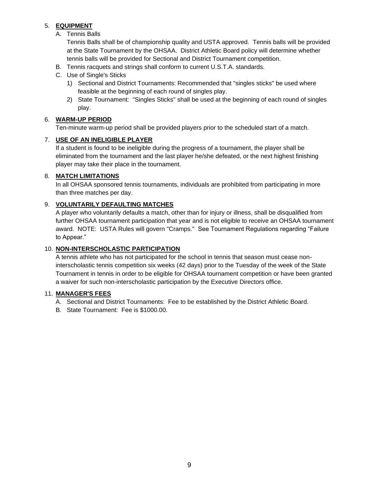# 5. **EQUIPMENT**

A. Tennis Balls

Tennis Balls shall be of championship quality and USTA approved. Tennis balls will be provided at the State Tournament by the OHSAA. District Athletic Board policy will determine whether tennis balls will be provided for Sectional and District Tournament competition.

- B. Tennis racquets and strings shall conform to current U.S.T.A. standards.
- C. Use of Single's Sticks
	- 1) Sectional and District Tournaments: Recommended that "singles sticks" be used where feasible at the beginning of each round of singles play.
	- 2) State Tournament: "Singles Sticks" shall be used at the beginning of each round of singles play.

#### 6. **WARM-UP PERIOD**

Ten-minute warm-up period shall be provided players prior to the scheduled start of a match.

## 7. **USE OF AN INELIGIBLE PLAYER**

If a student is found to be ineligible during the progress of a tournament, the player shall be eliminated from the tournament and the last player he/she defeated, or the next highest finishing player may take their place in the tournament.

## 8. **MATCH LIMITATIONS**

In all OHSAA sponsored tennis tournaments, individuals are prohibited from participating in more than three matches per day.

## 9. **VOLUNTARILY DEFAULTING MATCHES**

A player who voluntarily defaults a match, other than for injury or illness, shall be disqualified from further OHSAA tournament participation that year and is not eligible to receive an OHSAA tournament award. NOTE: USTA Rules will govern "Cramps." See Tournament Regulations regarding "Failure to Appear."

## 10. **NON-INTERSCHOLASTIC PARTICIPATION**

A tennis athlete who has not participated for the school in tennis that season must cease noninterscholastic tennis competition six weeks (42 days) prior to the Tuesday of the week of the State Tournament in tennis in order to be eligible for OHSAA tournament competition or have been granted a waiver for such non-interscholastic participation by the Executive Directors office.

#### 11. **MANAGER'S FEES**

- A. Sectional and District Tournaments: Fee to be established by the District Athletic Board.
- B. State Tournament: Fee is \$1000.00.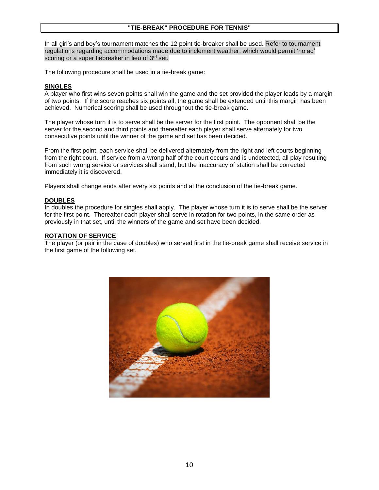#### **"TIE-BREAK" PROCEDURE FOR TENNIS"**

In all girl's and boy's tournament matches the 12 point tie-breaker shall be used. Refer to tournament regulations regarding accommodations made due to inclement weather, which would permit 'no ad' scoring or a super tiebreaker in lieu of 3rd set.

The following procedure shall be used in a tie-break game:

#### **SINGLES**

A player who first wins seven points shall win the game and the set provided the player leads by a margin of two points. If the score reaches six points all, the game shall be extended until this margin has been achieved. Numerical scoring shall be used throughout the tie-break game.

The player whose turn it is to serve shall be the server for the first point. The opponent shall be the server for the second and third points and thereafter each player shall serve alternately for two consecutive points until the winner of the game and set has been decided.

From the first point, each service shall be delivered alternately from the right and left courts beginning from the right court. If service from a wrong half of the court occurs and is undetected, all play resulting from such wrong service or services shall stand, but the inaccuracy of station shall be corrected immediately it is discovered.

Players shall change ends after every six points and at the conclusion of the tie-break game.

#### **DOUBLES**

In doubles the procedure for singles shall apply. The player whose turn it is to serve shall be the server for the first point. Thereafter each player shall serve in rotation for two points, in the same order as previously in that set, until the winners of the game and set have been decided.

#### **ROTATION OF SERVICE**

The player (or pair in the case of doubles) who served first in the tie-break game shall receive service in the first game of the following set.

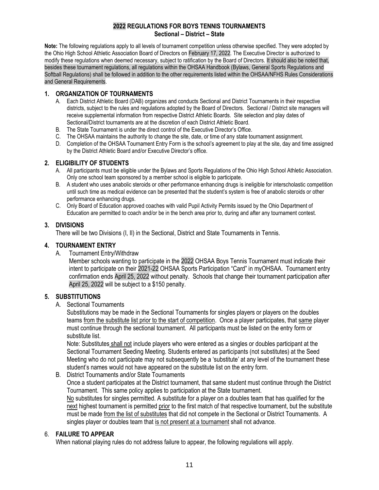# **2022 REGULATIONS FOR BOYS TENNIS TOURNAMENTS Sectional – District – State**

**Note:** The following regulations apply to all levels of tournament competition unless otherwise specified. They were adopted by the Ohio High School Athletic Association Board of Directors on February 17, 2022. The Executive Director is authorized to modify these regulations when deemed necessary, subject to ratification by the Board of Directors. It should also be noted that, besides these tournament regulations, all regulations within the OHSAA Handbook (Bylaws, General Sports Regulations and Softball Regulations) shall be followed in addition to the other requirements listed within the OHSAA/NFHS Rules Considerations and General Requirements.

# **1. ORGANIZATION OF TOURNAMENTS**

- A. Each District Athletic Board (DAB) organizes and conducts Sectional and District Tournaments in their respective districts, subject to the rules and regulations adopted by the Board of Directors. Sectional / District site managers will receive supplemental information from respective District Athletic Boards. Site selection and play dates of Sectional/District tournaments are at the discretion of each District Athletic Board.
- B. The State Tournament is under the direct control of the Executive Director's Office.
- C. The OHSAA maintains the authority to change the site, date, or time of any state tournament assignment.
- D. Completion of the OHSAA Tournament Entry Form is the school's agreement to play at the site, day and time assigned by the District Athletic Board and/or Executive Director's office.

# **2. ELIGIBILITY OF STUDENTS**

- A. All participants must be eligible under the Bylaws and Sports Regulations of the Ohio High School Athletic Association. Only one school team sponsored by a member school is eligible to participate.
- B. A student who uses anabolic steroids or other performance enhancing drugs is ineligible for interscholastic competition until such time as medical evidence can be presented that the student's system is free of anabolic steroids or other performance enhancing drugs.
- C. Only Board of Education approved coaches with valid Pupil Activity Permits issued by the Ohio Department of Education are permitted to coach and/or be in the bench area prior to, during and after any tournament contest.

# **3. DIVISIONS**

There will be two Divisions (I, II) in the Sectional, District and State Tournaments in Tennis.

# **4. TOURNAMENT ENTRY**

A. Tournament Entry/Withdraw

Member schools wanting to participate in the 2022 OHSAA Boys Tennis Tournament must indicate their intent to participate on their 2021-22 OHSAA Sports Participation "Card" in myOHSAA. Tournament entry confirmation ends April 25, 2022 without penalty. Schools that change their tournament participation after April 25, 2022 will be subject to a \$150 penalty.

# **5. SUBSTITUTIONS**

A. Sectional Tournaments

Substitutions may be made in the Sectional Tournaments for singles players or players on the doubles teams from the substitute list prior to the start of competition. Once a player participates, that same player must continue through the sectional tournament. All participants must be listed on the entry form or substitute list.

Note: Substitutes shall not include players who were entered as a singles or doubles participant at the Sectional Tournament Seeding Meeting. Students entered as participants (not substitutes) at the Seed Meeting who do not participate may not subsequently be a 'substitute' at any level of the tournament these student's names would not have appeared on the substitute list on the entry form.

# B. District Tournaments and/or State Tournaments

Once a student participates at the District tournament, that same student must continue through the District Tournament. This same policy applies to participation at the State tournament.

No substitutes for singles permitted. A substitute for a player on a doubles team that has qualified for the next highest tournament is permitted prior to the first match of that respective tournament, but the substitute must be made from the list of substitutes that did not compete in the Sectional or District Tournaments. A singles player or doubles team that is not present at a tournament shall not advance.

# 6. **FAILURE TO APPEAR**

When national playing rules do not address failure to appear, the following regulations will apply.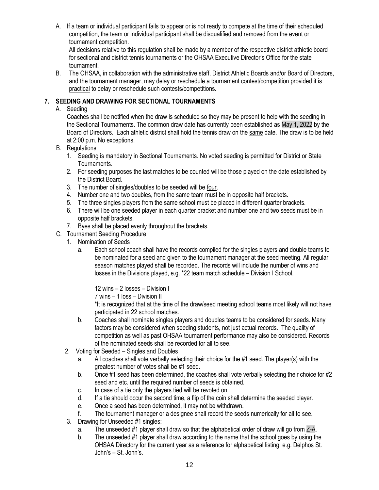A. If a team or individual participant fails to appear or is not ready to compete at the time of their scheduled competition, the team or individual participant shall be disqualified and removed from the event or tournament competition.

All decisions relative to this regulation shall be made by a member of the respective district athletic board for sectional and district tennis tournaments or the OHSAA Executive Director's Office for the state tournament.

B. The OHSAA, in collaboration with the administrative staff, District Athletic Boards and/or Board of Directors, and the tournament manager, may delay or reschedule a tournament contest/competition provided it is practical to delay or reschedule such contests/competitions.

# **7. SEEDING AND DRAWING FOR SECTIONAL TOURNAMENTS**

A. Seeding

Coaches shall be notified when the draw is scheduled so they may be present to help with the seeding in the Sectional Tournaments. The common draw date has currently been established as May 1, 2022 by the Board of Directors. Each athletic district shall hold the tennis draw on the same date. The draw is to be held at 2:00 p.m. No exceptions.

- B. Regulations
	- 1. Seeding is mandatory in Sectional Tournaments. No voted seeding is permitted for District or State Tournaments.
	- 2. For seeding purposes the last matches to be counted will be those played on the date established by the District Board.
	- 3. The number of singles/doubles to be seeded will be four.
	- 4. Number one and two doubles, from the same team must be in opposite half brackets.
	- 5. The three singles players from the same school must be placed in different quarter brackets.
	- 6. There will be one seeded player in each quarter bracket and number one and two seeds must be in opposite half brackets.
	- 7. Byes shall be placed evenly throughout the brackets.
- C. Tournament Seeding Procedure
	- 1. Nomination of Seeds
		- a. Each school coach shall have the records compiled for the singles players and double teams to be nominated for a seed and given to the tournament manager at the seed meeting. All regular season matches played shall be recorded. The records will include the number of wins and losses in the Divisions played, e.g. \*22 team match schedule – Division I School.

12 wins – 2 losses – Division I

7 wins – 1 loss – Division II

\*It is recognized that at the time of the draw/seed meeting school teams most likely will not have participated in 22 school matches.

- b. Coaches shall nominate singles players and doubles teams to be considered for seeds. Many factors may be considered when seeding students, not just actual records. The quality of competition as well as past OHSAA tournament performance may also be considered. Records of the nominated seeds shall be recorded for all to see.
- 2. Voting for Seeded Singles and Doubles
	- a. All coaches shall vote verbally selecting their choice for the #1 seed. The player(s) with the greatest number of votes shall be #1 seed.
	- b. Once #1 seed has been determined, the coaches shall vote verbally selecting their choice for #2 seed and etc. until the required number of seeds is obtained.
	- c. In case of a tie only the players tied will be revoted on.
	- d. If a tie should occur the second time, a flip of the coin shall determine the seeded player.
	- e. Once a seed has been determined, it may not be withdrawn.
	- f. The tournament manager or a designee shall record the seeds numerically for all to see.
- 3. Drawing for Unseeded #1 singles:
	- a. The unseeded #1 player shall draw so that the alphabetical order of draw will go from Z-A.
	- b. The unseeded #1 player shall draw according to the name that the school goes by using the OHSAA Directory for the current year as a reference for alphabetical listing, e.g. Delphos St. John's – St. John's.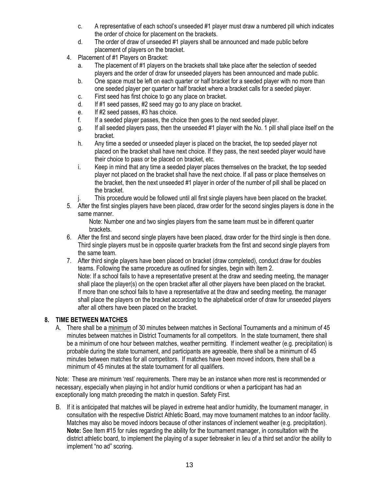- c. A representative of each school's unseeded #1 player must draw a numbered pill which indicates the order of choice for placement on the brackets.
- d. The order of draw of unseeded #1 players shall be announced and made public before placement of players on the bracket.
- 4. Placement of #1 Players on Bracket:
	- a. The placement of #1 players on the brackets shall take place after the selection of seeded players and the order of draw for unseeded players has been announced and made public.
	- b. One space must be left on each quarter or half bracket for a seeded player with no more than one seeded player per quarter or half bracket where a bracket calls for a seeded player.
	- c. First seed has first choice to go any place on bracket.
	- d. If #1 seed passes, #2 seed may go to any place on bracket.
	- e. If #2 seed passes, #3 has choice.
	- f. If a seeded player passes, the choice then goes to the next seeded player.
	- g. If all seeded players pass, then the unseeded #1 player with the No. 1 pill shall place itself on the bracket.
	- h. Any time a seeded or unseeded player is placed on the bracket, the top seeded player not placed on the bracket shall have next choice. If they pass, the next seeded player would have their choice to pass or be placed on bracket, etc.
	- i. Keep in mind that any time a seeded player places themselves on the bracket, the top seeded player not placed on the bracket shall have the next choice. If all pass or place themselves on the bracket, then the next unseeded #1 player in order of the number of pill shall be placed on the bracket.
	- j. This procedure would be followed until all first single players have been placed on the bracket.
- 5. After the first singles players have been placed, draw order for the second singles players is done in the same manner.

Note: Number one and two singles players from the same team must be in different quarter brackets.

- 6. After the first and second single players have been placed, draw order for the third single is then done. Third single players must be in opposite quarter brackets from the first and second single players from the same team.
- 7. After third single players have been placed on bracket (draw completed), conduct draw for doubles teams. Following the same procedure as outlined for singles, begin with Item 2. Note: If a school fails to have a representative present at the draw and seeding meeting, the manager shall place the player(s) on the open bracket after all other players have been placed on the bracket. If more than one school fails to have a representative at the draw and seeding meeting, the manager shall place the players on the bracket according to the alphabetical order of draw for unseeded players after all others have been placed on the bracket.

# **8. TIME BETWEEN MATCHES**

A. There shall be a minimum of 30 minutes between matches in Sectional Tournaments and a minimum of 45 minutes between matches in District Tournaments for all competitors. In the state tournament, there shall be a minimum of one hour between matches, weather permitting. If inclement weather (e.g. precipitation) is probable during the state tournament, and participants are agreeable, there shall be a minimum of 45 minutes between matches for all competitors. If matches have been moved indoors, there shall be a minimum of 45 minutes at the state tournament for all qualifiers.

Note: These are minimum 'rest' requirements. There may be an instance when more rest is recommended or necessary, especially when playing in hot and/or humid conditions or when a participant has had an exceptionally long match preceding the match in question. Safety First.

B. If it is anticipated that matches will be played in extreme heat and/or humidity, the tournament manager, in consultation with the respective District Athletic Board, may move tournament matches to an indoor facility. Matches may also be moved indoors because of other instances of inclement weather (e.g. precipitation). **Note:** See Item #15 for rules regarding the ability for the tournament manager, in consultation with the district athletic board, to implement the playing of a super tiebreaker in lieu of a third set and/or the ability to implement "no ad" scoring.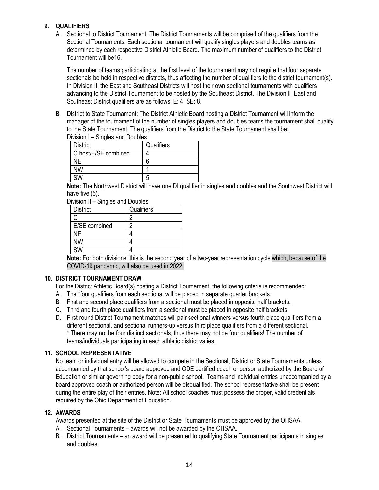# **9. QUALIFIERS**

A. Sectional to District Tournament: The District Tournaments will be comprised of the qualifiers from the Sectional Tournaments. Each sectional tournament will qualify singles players and doubles teams as determined by each respective District Athletic Board. The maximum number of qualifiers to the District Tournament will be16.

The number of teams participating at the first level of the tournament may not require that four separate sectionals be held in respective districts, thus affecting the number of qualifiers to the district tournament(s). In Division II, the East and Southeast Districts will host their own sectional tournaments with qualifiers advancing to the District Tournament to be hosted by the Southeast District. The Division II East and Southeast District qualifiers are as follows: E: 4, SE: 8.

B. District to State Tournament: The District Athletic Board hosting a District Tournament will inform the manager of the tournament of the number of singles players and doubles teams the tournament shall qualify to the State Tournament. The qualifiers from the District to the State Tournament shall be: Division I – Singles and Doubles

| , , , , , , , , ,<br>$5.19190$ and $5.000$ |            |
|--------------------------------------------|------------|
| <b>District</b>                            | Qualifiers |
| C host/E/SE combined                       |            |
| ΝE                                         | 6          |
| NW                                         |            |
| <b>SW</b>                                  | b          |

**Note:** The Northwest District will have one DI qualifier in singles and doubles and the Southwest District will have five (5).

|  | Division II - Singles and Doubles |
|--|-----------------------------------|
|  |                                   |

| וו ווטוטוזו<br>oniyiyo unu boupiyo |            |
|------------------------------------|------------|
| <b>District</b>                    | Qualifiers |
| C                                  |            |
| E/SE combined                      |            |
| <b>NE</b>                          |            |
| <b>NW</b>                          |            |
| <b>SW</b>                          |            |
| $\sim$<br>.                        | .          |

**Note:** For both divisions, this is the second year of a two-year representation cycle which, because of the COVID-19 pandemic, will also be used in 2022.

# **10. DISTRICT TOURNAMENT DRAW**

For the District Athletic Board(s) hosting a District Tournament, the following criteria is recommended:

- A. The \*four qualifiers from each sectional will be placed in separate quarter brackets.
- B. First and second place qualifiers from a sectional must be placed in opposite half brackets.
- C. Third and fourth place qualifiers from a sectional must be placed in opposite half brackets.
- D. First round District Tournament matches will pair sectional winners versus fourth place qualifiers from a different sectional, and sectional runners-up versus third place qualifiers from a different sectional. \* There may not be four distinct sectionals, thus there may not be four qualifiers! The number of teams/individuals participating in each athletic district varies.

# **11. SCHOOL REPRESENTATIVE**

No team or individual entry will be allowed to compete in the Sectional, District or State Tournaments unless accompanied by that school's board approved and ODE certified coach or person authorized by the Board of Education or similar governing body for a non-public school. Teams and individual entries unaccompanied by a board approved coach or authorized person will be disqualified. The school representative shall be present during the entire play of their entries. Note: All school coaches must possess the proper, valid credentials required by the Ohio Department of Education.

# **12. AWARDS**

Awards presented at the site of the District or State Tournaments must be approved by the OHSAA.

- A. Sectional Tournaments awards will not be awarded by the OHSAA.
- B. District Tournaments an award will be presented to qualifying State Tournament participants in singles and doubles.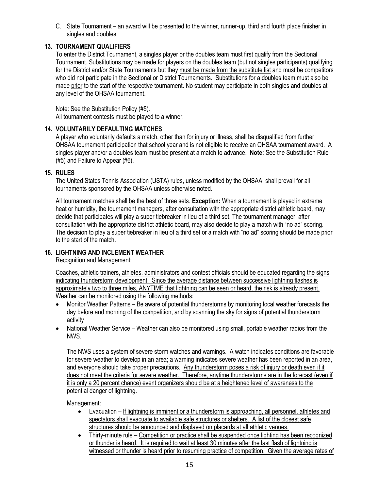C. State Tournament – an award will be presented to the winner, runner-up, third and fourth place finisher in singles and doubles.

# **13. TOURNAMENT QUALIFIERS**

To enter the District Tournament, a singles player or the doubles team must first qualify from the Sectional Tournament. Substitutions may be made for players on the doubles team (but not singles participants) qualifying for the District and/or State Tournaments but they must be made from the substitute list and must be competitors who did not participate in the Sectional or District Tournaments. Substitutions for a doubles team must also be made prior to the start of the respective tournament. No student may participate in both singles and doubles at any level of the OHSAA tournament.

Note: See the Substitution Policy (#5).

All tournament contests must be played to a winner.

# **14. VOLUNTARILY DEFAULTING MATCHES**

A player who voluntarily defaults a match, other than for injury or illness, shall be disqualified from further OHSAA tournament participation that school year and is not eligible to receive an OHSAA tournament award. A singles player and/or a doubles team must be present at a match to advance. **Note:** See the Substitution Rule (#5) and Failure to Appear (#6).

# **15. RULES**

The United States Tennis Association (USTA) rules, unless modified by the OHSAA, shall prevail for all tournaments sponsored by the OHSAA unless otherwise noted.

All tournament matches shall be the best of three sets. **Exception:** When a tournament is played in extreme heat or humidity, the tournament managers, after consultation with the appropriate district athletic board, may decide that participates will play a super tiebreaker in lieu of a third set. The tournament manager, after consultation with the appropriate district athletic board, may also decide to play a match with "no ad" scoring. The decision to play a super tiebreaker in lieu of a third set or a match with "no ad" scoring should be made prior to the start of the match.

# **16. LIGHTNING AND INCLEMENT WEATHER**

Recognition and Management:

Coaches, athletic trainers, athletes, administrators and contest officials should be educated regarding the signs indicating thunderstorm development. Since the average distance between successive lightning flashes is approximately two to three miles, ANYTIME that lightning can be seen or heard, the risk is already present. Weather can be monitored using the following methods:

- Monitor Weather Patterns Be aware of potential thunderstorms by monitoring local weather forecasts the day before and morning of the competition, and by scanning the sky for signs of potential thunderstorm activity
- National Weather Service Weather can also be monitored using small, portable weather radios from the NWS.

The NWS uses a system of severe storm watches and warnings. A watch indicates conditions are favorable for severe weather to develop in an area; a warning indicates severe weather has been reported in an area, and everyone should take proper precautions. Any thunderstorm poses a risk of injury or death even if it does not meet the criteria for severe weather. Therefore, anytime thunderstorms are in the forecast (even if it is only a 20 percent chance) event organizers should be at a heightened level of awareness to the potential danger of lightning.

Management:

- Evacuation If lightning is imminent or a thunderstorm is approaching, all personnel, athletes and spectators shall evacuate to available safe structures or shelters. A list of the closest safe structures should be announced and displayed on placards at all athletic venues.
- Thirty-minute rule Competition or practice shall be suspended once lighting has been recognized or thunder is heard. It is required to wait at least 30 minutes after the last flash of lightning is witnessed or thunder is heard prior to resuming practice of competition. Given the average rates of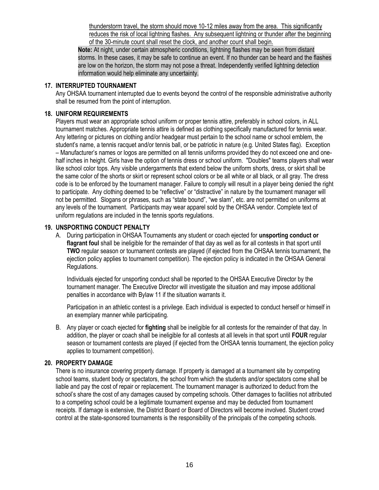thunderstorm travel, the storm should move 10-12 miles away from the area. This significantly reduces the risk of local lightning flashes. Any subsequent lightning or thunder after the beginning of the 30-minute count shall reset the clock, and another count shall begin.

**Note:** At night, under certain atmospheric conditions, lightning flashes may be seen from distant storms. In these cases, it may be safe to continue an event. If no thunder can be heard and the flashes are low on the horizon, the storm may not pose a threat. Independently verified lightning detection information would help eliminate any uncertainty.

# **17. INTERRUPTED TOURNAMENT**

Any OHSAA tournament interrupted due to events beyond the control of the responsible administrative authority shall be resumed from the point of interruption.

## **18. UNIFORM REQUIREMENTS**

Players must wear an appropriate school uniform or proper tennis attire, preferably in school colors, in ALL tournament matches. Appropriate tennis attire is defined as clothing specifically manufactured for tennis wear. Any lettering or pictures on clothing and/or headgear must pertain to the school name or school emblem, the student's name, a tennis racquet and/or tennis ball, or be patriotic in nature (e.g. United States flag). Exception – Manufacturer's names or logos are permitted on all tennis uniforms provided they do not exceed one and onehalf inches in height. Girls have the option of tennis dress or school uniform. "Doubles" teams players shall wear like school color tops. Any visible undergarments that extend below the uniform shorts, dress, or skirt shall be the same color of the shorts or skirt or represent school colors or be all white or all black, or all gray. The dress code is to be enforced by the tournament manager. Failure to comply will result in a player being denied the right to participate. Any clothing deemed to be "reflective" or "distractive" in nature by the tournament manager will not be permitted. Slogans or phrases, such as "state bound", "we slam", etc. are not permitted on uniforms at any levels of the tournament. Participants may wear apparel sold by the OHSAA vendor. Complete text of uniform regulations are included in the tennis sports regulations.

## **19. UNSPORTING CONDUCT PENALTY**

A. During participation in OHSAA Tournaments any student or coach ejected for **unsporting conduct or flagrant foul** shall be ineligible for the remainder of that day as well as for all contests in that sport until **TWO** regular season or tournament contests are played (if ejected from the OHSAA tennis tournament, the ejection policy applies to tournament competition). The ejection policy is indicated in the OHSAA General Regulations.

Individuals ejected for unsporting conduct shall be reported to the OHSAA Executive Director by the tournament manager. The Executive Director will investigate the situation and may impose additional penalties in accordance with Bylaw 11 if the situation warrants it.

Participation in an athletic contest is a privilege. Each individual is expected to conduct herself or himself in an exemplary manner while participating.

B. Any player or coach ejected for **fighting** shall be ineligible for all contests for the remainder of that day. In addition, the player or coach shall be ineligible for all contests at all levels in that sport until **FOUR** regular season or tournament contests are played (if ejected from the OHSAA tennis tournament, the ejection policy applies to tournament competition).

#### **20. PROPERTY DAMAGE**

There is no insurance covering property damage. If property is damaged at a tournament site by competing school teams, student body or spectators, the school from which the students and/or spectators come shall be liable and pay the cost of repair or replacement. The tournament manager is authorized to deduct from the school's share the cost of any damages caused by competing schools. Other damages to facilities not attributed to a competing school could be a legitimate tournament expense and may be deducted from tournament receipts. If damage is extensive, the District Board or Board of Directors will become involved. Student crowd control at the state-sponsored tournaments is the responsibility of the principals of the competing schools.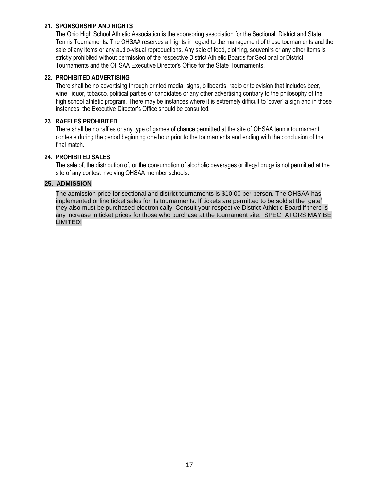## **21. SPONSORSHIP AND RIGHTS**

The Ohio High School Athletic Association is the sponsoring association for the Sectional, District and State Tennis Tournaments. The OHSAA reserves all rights in regard to the management of these tournaments and the sale of any items or any audio-visual reproductions. Any sale of food, clothing, souvenirs or any other items is strictly prohibited without permission of the respective District Athletic Boards for Sectional or District Tournaments and the OHSAA Executive Director's Office for the State Tournaments.

## **22. PROHIBITED ADVERTISING**

There shall be no advertising through printed media, signs, billboards, radio or television that includes beer, wine, liquor, tobacco, political parties or candidates or any other advertising contrary to the philosophy of the high school athletic program. There may be instances where it is extremely difficult to 'cover' a sign and in those instances, the Executive Director's Office should be consulted.

#### **23. RAFFLES PROHIBITED**

There shall be no raffles or any type of games of chance permitted at the site of OHSAA tennis tournament contests during the period beginning one hour prior to the tournaments and ending with the conclusion of the final match.

## **24. PROHIBITED SALES**

The sale of, the distribution of, or the consumption of alcoholic beverages or illegal drugs is not permitted at the site of any contest involving OHSAA member schools.

#### **25. ADMISSION**

The admission price for sectional and district tournaments is \$10.00 per person. The OHSAA has implemented online ticket sales for its tournaments. If tickets are permitted to be sold at the" gate" they also must be purchased electronically. Consult your respective District Athletic Board if there is any increase in ticket prices for those who purchase at the tournament site. SPECTATORS MAY BE LIMITED!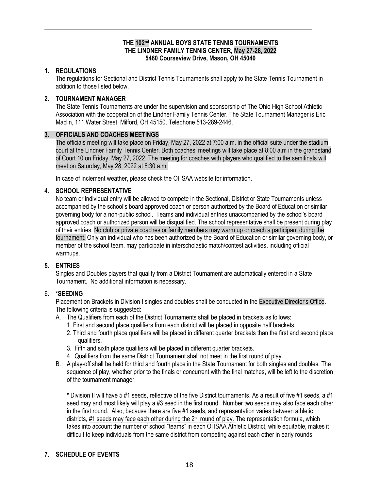## **THE 102 nd ANNUAL BOYS STATE TENNIS TOURNAMENTS THE LINDNER FAMILY TENNIS CENTER, May 27-28, 2022 5460 Courseview Drive, Mason, OH 45040**

## **1. REGULATIONS**

The regulations for Sectional and District Tennis Tournaments shall apply to the State Tennis Tournament in addition to those listed below.

# **2. TOURNAMENT MANAGER**

The State Tennis Tournaments are under the supervision and sponsorship of The Ohio High School Athletic Association with the cooperation of the Lindner Family Tennis Center. The State Tournament Manager is Eric Maclin, 111 Water Street, Milford, OH 45150. Telephone 513-289-2446.

## **3. OFFICIALS AND COACHES MEETINGS**

The officials meeting will take place on Friday, May 27, 2022 at 7:00 a.m. in the official suite under the stadium court at the Lindner Family Tennis Center. Both coaches' meetings will take place at 8:00 a.m in the grandstand of Court 10 on Friday, May 27, 2022. The meeting for coaches with players who qualified to the semifinals will meet on Saturday, May 28, 2022 at 8:30 a.m.

In case of inclement weather, please check the OHSAA website for information.

## 4. **SCHOOL REPRESENTATIVE**

No team or individual entry will be allowed to compete in the Sectional, District or State Tournaments unless accompanied by the school's board approved coach or person authorized by the Board of Education or similar governing body for a non-public school. Teams and individual entries unaccompanied by the school's board approved coach or authorized person will be disqualified. The school representative shall be present during play of their entries. No club or private coaches or family members may warm up or coach a participant during the tournament. Only an individual who has been authorized by the Board of Education or similar governing body, or member of the school team, may participate in interscholastic match/contest activities, including official warmups.

# **5. ENTRIES**

Singles and Doubles players that qualify from a District Tournament are automatically entered in a State Tournament. No additional information is necessary.

# 6. **\*SEEDING**

Placement on Brackets in Division I singles and doubles shall be conducted in the Executive Director's Office. The following criteria is suggested:

- A. The Qualifiers from each of the District Tournaments shall be placed in brackets as follows:
	- 1. First and second place qualifiers from each district will be placed in opposite half brackets.
	- 2. Third and fourth place qualifiers will be placed in different quarter brackets than the first and second place qualifiers.
	- 3. Fifth and sixth place qualifiers will be placed in different quarter brackets.
	- 4. Qualifiers from the same District Tournament shall not meet in the first round of play.
- B. A play-off shall be held for third and fourth place in the State Tournament for both singles and doubles. The sequence of play, whether prior to the finals or concurrent with the final matches, will be left to the discretion of the tournament manager.

\* Division II will have 5 #1 seeds, reflective of the five District tournaments. As a result of five #1 seeds, a #1 seed may and most likely will play a #3 seed in the first round. Number two seeds may also face each other in the first round. Also, because there are five #1 seeds, and representation varies between athletic districts, #1 seeds may face each other during the 2<sup>nd</sup> round of play. The representation formula, which takes into account the number of school "teams" in each OHSAA Athletic District, while equitable, makes it difficult to keep individuals from the same district from competing against each other in early rounds.

# **7. SCHEDULE OF EVENTS**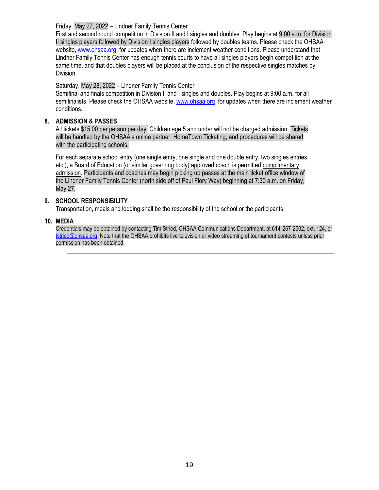Friday, May 27, 2022 – Lindner Family Tennis Center

First and second round competition in Division II and I singles and doubles. Play begins at 9:00 a.m. for Division II singles players followed by Division I singles players followed by doubles teams. Please check the OHSAA website[, www.ohsaa.org,](http://www.ohsaa.org/) for updates when there are inclement weather conditions. Please understand that Lindner Family Tennis Center has enough tennis courts to have all singles players begin competition at the same time, and that doubles players will be placed at the conclusion of the respective singles matches by Division.

# Saturday, May 28, 2022 – Lindner Family Tennis Center

Semifinal and finals competition in Division II and I singles and doubles. Play begins at 9:00 a.m. for all semifinalists. Please check the OHSAA website, [www.ohsaa.org](http://www.ohsaa.org/) for updates when there are inclement weather conditions.

# **8. ADMISSION & PASSES**

All tickets \$15.00 per person per day. Children age 5 and under will not be charged admission. Tickets will be handled by the OHSAA's online partner, HomeTown Ticketing, and procedures will be shared with the participating schools.

For each separate school entry (one single entry, one single and one double entry, two singles entries, etc.), a Board of Education (or similar governing body) approved coach is permitted complimentary admission. Participants and coaches may begin picking up passes at the main ticket office window of the Lindner Family Tennis Center (north side off of Paul Flory Way) beginning at 7:30 a.m. on Friday, May 27.

# **9. SCHOOL RESPONSIBILITY**

Transportation, meals and lodging shall be the responsibility of the school or the participants.

#### **10. MEDIA**

Credentials may be obtained by contacting Tim Stried, OHSAA Communications Department, at 614-267-2502, ext. 124, or [tstried@ohsaa.org.](mailto:tstried@ohsaa.org) Note that the OHSAA prohibits live television or video streaming of tournament contests unless prior permission has been obtained.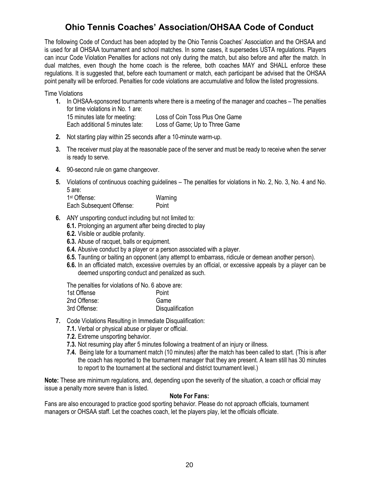# **Ohio Tennis Coaches' Association/OHSAA Code of Conduct**

The following Code of Conduct has been adopted by the Ohio Tennis Coaches' Association and the OHSAA and is used for all OHSAA tournament and school matches. In some cases, it supersedes USTA regulations. Players can incur Code Violation Penalties for actions not only during the match, but also before and after the match. In dual matches, even though the home coach is the referee, both coaches MAY and SHALL enforce these regulations. It is suggested that, before each tournament or match, each participant be advised that the OHSAA point penalty will be enforced. Penalties for code violations are accumulative and follow the listed progressions.

Time Violations

- **1.** In OHSAA-sponsored tournaments where there is a meeting of the manager and coaches The penalties for time violations in No. 1 are: 15 minutes late for meeting: Loss of Coin Toss Plus One Game Each additional 5 minutes late: Loss of Game; Up to Three Game
- **2.** Not starting play within 25 seconds after a 10-minute warm-up.
- **3.** The receiver must play at the reasonable pace of the server and must be ready to receive when the server is ready to serve.
- **4.** 90-second rule on game changeover.
- **5.** Violations of continuous coaching guidelines The penalties for violations in No. 2, No. 3, No. 4 and No. 5 are:

| 1 <sup>st</sup> Offense: | Warning |
|--------------------------|---------|
| Each Subsequent Offense: | Point   |

- **6.** ANY unsporting conduct including but not limited to:
	- **6.1.** Prolonging an argument after being directed to play
	- **6.2.** Visible or audible profanity.
	- **6.3.** Abuse of racquet, balls or equipment.
	- **6.4.** Abusive conduct by a player or a person associated with a player.
	- **6.5.** Taunting or baiting an opponent (any attempt to embarrass, ridicule or demean another person).
	- **6.6.** In an officiated match, excessive overrules by an official, or excessive appeals by a player can be deemed unsporting conduct and penalized as such.

The penalties for violations of No. 6 above are:

| 1st Offense  | Point            |
|--------------|------------------|
| 2nd Offense: | Game             |
| 3rd Offense: | Disqualification |

- **7.** Code Violations Resulting in Immediate Disqualification:
	- **7.1.** Verbal or physical abuse or player or official.
	- **7.2.** Extreme unsporting behavior.
	- **7.3.** Not resuming play after 5 minutes following a treatment of an injury or illness.
	- **7.4.** Being late for a tournament match (10 minutes) after the match has been called to start. (This is after the coach has reported to the tournament manager that they are present. A team still has 30 minutes to report to the tournament at the sectional and district tournament level.)

**Note:** These are minimum regulations, and, depending upon the severity of the situation, a coach or official may issue a penalty more severe than is listed.

#### **Note For Fans:**

Fans are also encouraged to practice good sporting behavior. Please do not approach officials, tournament managers or OHSAA staff. Let the coaches coach, let the players play, let the officials officiate.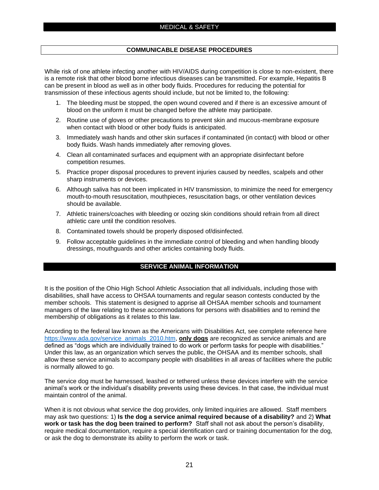#### **COMMUNICABLE DISEASE PROCEDURES**

While risk of one athlete infecting another with HIV/AIDS during competition is close to non-existent, there is a remote risk that other blood borne infectious diseases can be transmitted. For example, Hepatitis B can be present in blood as well as in other body fluids. Procedures for reducing the potential for transmission of these infectious agents should include, but not be limited to, the following:

- 1. The bleeding must be stopped, the open wound covered and if there is an excessive amount of blood on the uniform it must be changed before the athlete may participate.
- 2. Routine use of gloves or other precautions to prevent skin and mucous-membrane exposure when contact with blood or other body fluids is anticipated.
- 3. Immediately wash hands and other skin surfaces if contaminated (in contact) with blood or other body fluids. Wash hands immediately after removing gloves.
- 4. Clean all contaminated surfaces and equipment with an appropriate disinfectant before competition resumes.
- 5. Practice proper disposal procedures to prevent injuries caused by needles, scalpels and other sharp instruments or devices.
- 6. Although saliva has not been implicated in HIV transmission, to minimize the need for emergency mouth-to-mouth resuscitation, mouthpieces, resuscitation bags, or other ventilation devices should be available.
- 7. Athletic trainers/coaches with bleeding or oozing skin conditions should refrain from all direct athletic care until the condition resolves.
- 8. Contaminated towels should be properly disposed of/disinfected.
- 9. Follow acceptable guidelines in the immediate control of bleeding and when handling bloody dressings, mouthguards and other articles containing body fluids.

#### **SERVICE ANIMAL INFORMATION**

It is the position of the Ohio High School Athletic Association that all individuals, including those with disabilities, shall have access to OHSAA tournaments and regular season contests conducted by the member schools. This statement is designed to apprise all OHSAA member schools and tournament managers of the law relating to these accommodations for persons with disabilities and to remind the membership of obligations as it relates to this law.

According to the federal law known as the Americans with Disabilities Act, see complete reference here [https://www.ada.gov/service\\_animals\\_2010.htm,](https://www.ada.gov/service_animals_2010.htm) **only dogs** are recognized as service animals and are defined as "dogs which are individually trained to do work or perform tasks for people with disabilities." Under this law, as an organization which serves the public, the OHSAA and its member schools, shall allow these service animals to accompany people with disabilities in all areas of facilities where the public is normally allowed to go.

The service dog must be harnessed, leashed or tethered unless these devices interfere with the service animal's work or the individual's disability prevents using these devices. In that case, the individual must maintain control of the animal.

When it is not obvious what service the dog provides, only limited inquiries are allowed. Staff members may ask two questions: 1) **Is the dog a service animal required because of a disability?** and 2) **What work or task has the dog been trained to perform?** Staff shall not ask about the person's disability, require medical documentation, require a special identification card or training documentation for the dog, or ask the dog to demonstrate its ability to perform the work or task.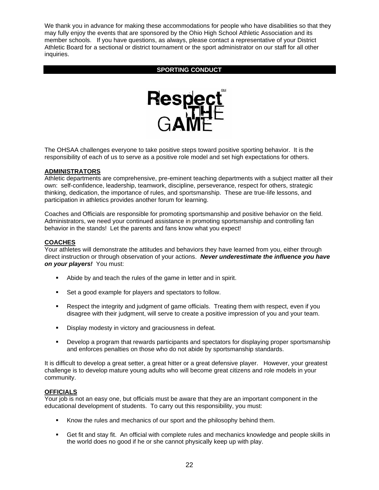We thank you in advance for making these accommodations for people who have disabilities so that they may fully enjoy the events that are sponsored by the Ohio High School Athletic Association and its member schools. If you have questions, as always, please contact a representative of your District Athletic Board for a sectional or district tournament or the sport administrator on our staff for all other inquiries.

#### **SPORTING CONDUCT**



The OHSAA challenges everyone to take positive steps toward positive sporting behavior. It is the responsibility of each of us to serve as a positive role model and set high expectations for others.

#### **ADMINISTRATORS**

Athletic departments are comprehensive, pre-eminent teaching departments with a subject matter all their own: self-confidence, leadership, teamwork, discipline, perseverance, respect for others, strategic thinking, dedication, the importance of rules, and sportsmanship. These are true-life lessons, and participation in athletics provides another forum for learning.

Coaches and Officials are responsible for promoting sportsmanship and positive behavior on the field. Administrators, we need your continued assistance in promoting sportsmanship and controlling fan behavior in the stands! Let the parents and fans know what you expect!

#### **COACHES**

Your athletes will demonstrate the attitudes and behaviors they have learned from you, either through direct instruction or through observation of your actions. *Never underestimate the influence you have on your players!* You must:

- Abide by and teach the rules of the game in letter and in spirit.
- Set a good example for players and spectators to follow.
- **EXE** Respect the integrity and judgment of game officials. Treating them with respect, even if you disagree with their judgment, will serve to create a positive impression of you and your team.
- **Display modesty in victory and graciousness in defeat.**
- **•** Develop a program that rewards participants and spectators for displaying proper sportsmanship and enforces penalties on those who do not abide by sportsmanship standards.

It is difficult to develop a great setter, a great hitter or a great defensive player. However, your greatest challenge is to develop mature young adults who will become great citizens and role models in your community.

#### **OFFICIALS**

Your job is not an easy one, but officials must be aware that they are an important component in the educational development of students. To carry out this responsibility, you must:

- Know the rules and mechanics of our sport and the philosophy behind them.
- Get fit and stay fit. An official with complete rules and mechanics knowledge and people skills in the world does no good if he or she cannot physically keep up with play.